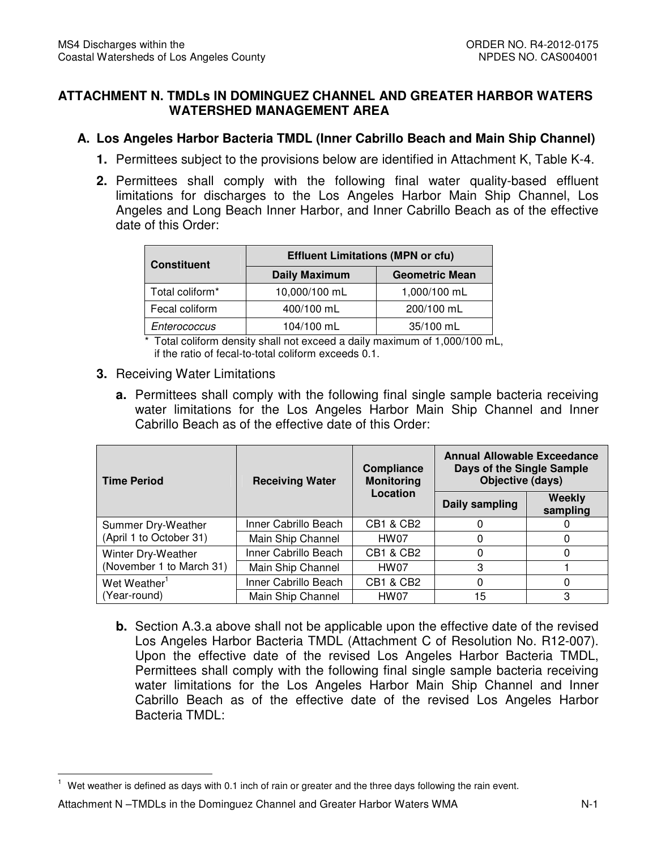## **ATTACHMENT N. TMDLs IN DOMINGUEZ CHANNEL AND GREATER HARBOR WATERS WATERSHED MANAGEMENT AREA**

# **A. Los Angeles Harbor Bacteria TMDL (Inner Cabrillo Beach and Main Ship Channel)**

- **1.** Permittees subject to the provisions below are identified in Attachment K, Table K-4.
- **2.** Permittees shall comply with the following final water quality-based effluent limitations for discharges to the Los Angeles Harbor Main Ship Channel, Los Angeles and Long Beach Inner Harbor, and Inner Cabrillo Beach as of the effective date of this Order:

| <b>Constituent</b> | <b>Effluent Limitations (MPN or cfu)</b>      |              |  |
|--------------------|-----------------------------------------------|--------------|--|
|                    | <b>Daily Maximum</b><br><b>Geometric Mean</b> |              |  |
| Total coliform*    | 10,000/100 mL                                 | 1,000/100 mL |  |
| Fecal coliform     | 400/100 mL                                    | 200/100 mL   |  |
| Enterococcus       | 104/100 mL                                    | 35/100 mL    |  |

 \* Total coliform density shall not exceed a daily maximum of 1,000/100 mL, if the ratio of fecal-to-total coliform exceeds 0.1.

### **3.** Receiving Water Limitations

 **a.** Permittees shall comply with the following final single sample bacteria receiving water limitations for the Los Angeles Harbor Main Ship Channel and Inner Cabrillo Beach as of the effective date of this Order:

| <b>Time Period</b>       | Compliance<br><b>Monitoring</b><br><b>Receiving Water</b> |                      | <b>Annual Allowable Exceedance</b><br>Days of the Single Sample<br>Objective (days) |                    |
|--------------------------|-----------------------------------------------------------|----------------------|-------------------------------------------------------------------------------------|--------------------|
|                          |                                                           | Location             | Daily sampling                                                                      | Weekly<br>sampling |
| Summer Dry-Weather       | Inner Cabrillo Beach                                      | CB1 & CB2            |                                                                                     |                    |
| (April 1 to October 31)  | Main Ship Channel                                         | HW07                 |                                                                                     | 0                  |
| Winter Dry-Weather       | Inner Cabrillo Beach                                      | <b>CB1 &amp; CB2</b> | 0                                                                                   | 0                  |
| (November 1 to March 31) | Main Ship Channel                                         | HW07                 | З                                                                                   |                    |
| Wet Weather <sup>1</sup> | Inner Cabrillo Beach                                      | <b>CB1 &amp; CB2</b> | 0                                                                                   | 0                  |
| (Year-round)             | Main Ship Channel                                         | HW07                 | 15                                                                                  | 3                  |

 **b.** Section A.3.a above shall not be applicable upon the effective date of the revised Los Angeles Harbor Bacteria TMDL (Attachment C of Resolution No. R12-007). Upon the effective date of the revised Los Angeles Harbor Bacteria TMDL, Permittees shall comply with the following final single sample bacteria receiving water limitations for the Los Angeles Harbor Main Ship Channel and Inner Cabrillo Beach as of the effective date of the revised Los Angeles Harbor Bacteria TMDL:

 $\overline{a}$ 

 $1$  Wet weather is defined as days with 0.1 inch of rain or greater and the three days following the rain event.

 Attachment N –TMDLs in the Dominguez Channel and Greater Harbor Waters WMA N-1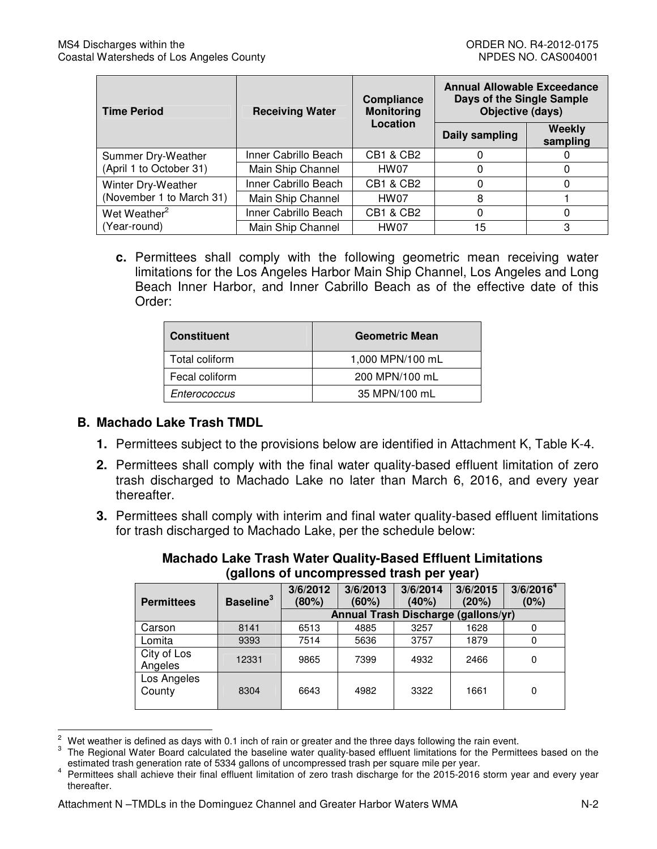| <b>Time Period</b><br><b>Receiving Water</b> |                      | <b>Compliance</b><br><b>Monitoring</b> | <b>Annual Allowable Exceedance</b><br>Days of the Single Sample<br>Objective (days) |                    |
|----------------------------------------------|----------------------|----------------------------------------|-------------------------------------------------------------------------------------|--------------------|
|                                              |                      | Location                               | Daily sampling                                                                      | Weekly<br>sampling |
| Summer Dry-Weather                           | Inner Cabrillo Beach | <b>CB1 &amp; CB2</b>                   |                                                                                     |                    |
| (April 1 to October 31)                      | Main Ship Channel    | HW07                                   | 0                                                                                   | 0                  |
| Winter Dry-Weather                           | Inner Cabrillo Beach | <b>CB1 &amp; CB2</b>                   | 0                                                                                   |                    |
| (November 1 to March 31)                     | Main Ship Channel    | HW07                                   | 8                                                                                   |                    |
| Wet Weather <sup>2</sup>                     | Inner Cabrillo Beach | <b>CB1 &amp; CB2</b>                   | $\Omega$                                                                            | 0                  |
| (Year-round)                                 | Main Ship Channel    | HW07                                   | 15                                                                                  | 3                  |

 **c.** Permittees shall comply with the following geometric mean receiving water limitations for the Los Angeles Harbor Main Ship Channel, Los Angeles and Long Beach Inner Harbor, and Inner Cabrillo Beach as of the effective date of this Order:

| <b>Constituent</b> | <b>Geometric Mean</b> |
|--------------------|-----------------------|
| Total coliform     | 1,000 MPN/100 mL      |
| Fecal coliform     | 200 MPN/100 mL        |
| Enterococcus       | 35 MPN/100 mL         |

## **B. Machado Lake Trash TMDL**

l  $\sqrt{2}$ 

- **1.** Permittees subject to the provisions below are identified in Attachment K, Table K-4.
- **2.** Permittees shall comply with the final water quality-based effluent limitation of zero trash discharged to Machado Lake no later than March 6, 2016, and every year thereafter.
- **3.** Permittees shall comply with interim and final water quality-based effluent limitations for trash discharged to Machado Lake, per the schedule below:

| ganons of uncompressed trash per year) |                       |                   |                                     |                   |                   |                               |
|----------------------------------------|-----------------------|-------------------|-------------------------------------|-------------------|-------------------|-------------------------------|
| <b>Permittees</b>                      | Baseline <sup>3</sup> | 3/6/2012<br>(80%) | 3/6/2013<br>(60%)                   | 3/6/2014<br>(40%) | 3/6/2015<br>(20%) | 3/6/2016 <sup>4</sup><br>(0%) |
|                                        |                       |                   | Annual Trash Discharge (gallons/yr) |                   |                   |                               |
| Carson                                 | 8141                  | 6513              | 4885                                | 3257              | 1628              |                               |
| Lomita                                 | 9393                  | 7514              | 5636                                | 3757              | 1879              |                               |
| City of Los<br>Angeles                 | 12331                 | 9865              | 7399                                | 4932              | 2466              | 0                             |
| Los Angeles<br>County                  | 8304                  | 6643              | 4982                                | 3322              | 1661              | 0                             |

 **Machado Lake Trash Water Quality-Based Effluent Limitations (gallons of uncompressed trash per year)** 

Wet weather is defined as days with 0.1 inch of rain or greater and the three days following the rain event.

<sup>3</sup>  estimated trash generation rate of 5334 gallons of uncompressed trash per square mile per year. 3 The Regional Water Board calculated the baseline water quality-based effluent limitations for the Permittees based on the

<sup>&</sup>lt;sup>4</sup> Permittees shall achieve their final effluent limitation of zero trash discharge for the 2015-2016 storm year and every year thereafter.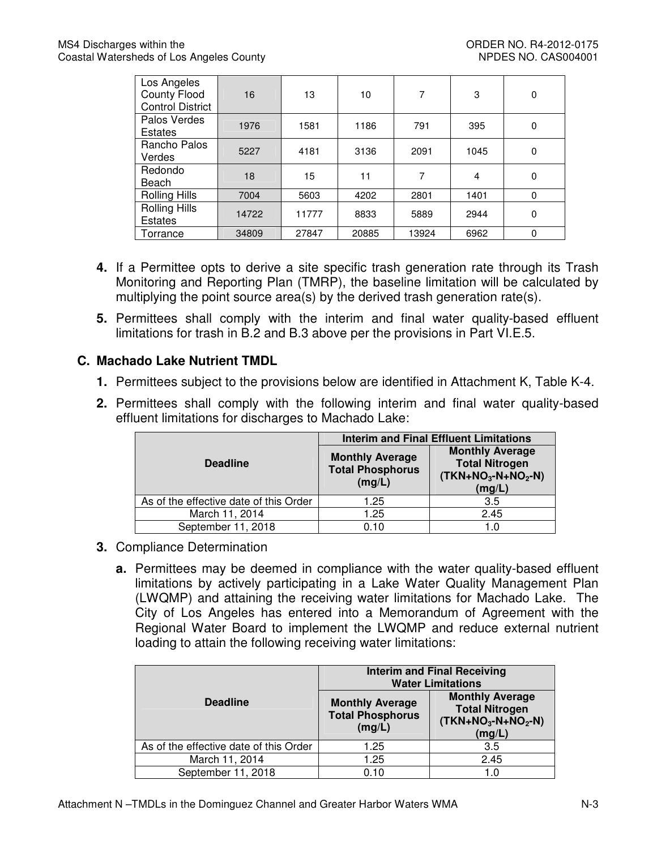| Los Angeles<br><b>County Flood</b><br><b>Control District</b> | 16    | 13    | 10    | 7     | 3    | 0        |
|---------------------------------------------------------------|-------|-------|-------|-------|------|----------|
| Palos Verdes<br>Estates                                       | 1976  | 1581  | 1186  | 791   | 395  | 0        |
| Rancho Palos<br>Verdes                                        | 5227  | 4181  | 3136  | 2091  | 1045 | 0        |
| Redondo<br>Beach                                              | 18    | 15    | 11    | 7     | 4    | 0        |
| Rolling Hills                                                 | 7004  | 5603  | 4202  | 2801  | 1401 | $\Omega$ |
| Rolling Hills<br>Estates                                      | 14722 | 11777 | 8833  | 5889  | 2944 | 0        |
| Torrance                                                      | 34809 | 27847 | 20885 | 13924 | 6962 | $\Omega$ |

- **4.** If a Permittee opts to derive a site specific trash generation rate through its Trash Monitoring and Reporting Plan (TMRP), the baseline limitation will be calculated by multiplying the point source area(s) by the derived trash generation rate(s).
- **5.** Permittees shall comply with the interim and final water quality-based effluent limitations for trash in B.2 and B.3 above per the provisions in Part VI.E.5.

# **C. Machado Lake Nutrient TMDL**

- **1.** Permittees subject to the provisions below are identified in Attachment K, Table K-4.
- **2.** Permittees shall comply with the following interim and final water quality-based effluent limitations for discharges to Machado Lake:

|                                        |                                                             | <b>Interim and Final Effluent Limitations</b>                                    |  |  |
|----------------------------------------|-------------------------------------------------------------|----------------------------------------------------------------------------------|--|--|
| <b>Deadline</b>                        | <b>Monthly Average</b><br><b>Total Phosphorus</b><br>(mg/L) | <b>Monthly Average</b><br><b>Total Nitrogen</b><br>$(TKN+NO3-N+NO2-N)$<br>(mg/L) |  |  |
| As of the effective date of this Order | 1.25                                                        | 3.5                                                                              |  |  |
| March 11, 2014                         | 1.25                                                        | 2.45                                                                             |  |  |
| September 11, 2018                     | 0.10                                                        | 1.0                                                                              |  |  |

- **3.** Compliance Determination
	- **a.** Permittees may be deemed in compliance with the water quality-based effluent limitations by actively participating in a Lake Water Quality Management Plan (LWQMP) and attaining the receiving water limitations for Machado Lake. The City of Los Angeles has entered into a Memorandum of Agreement with the Regional Water Board to implement the LWQMP and reduce external nutrient loading to attain the following receiving water limitations:

|                                        |                                                             | <b>Interim and Final Receiving</b><br><b>Water Limitations</b>                   |  |  |
|----------------------------------------|-------------------------------------------------------------|----------------------------------------------------------------------------------|--|--|
| <b>Deadline</b>                        | <b>Monthly Average</b><br><b>Total Phosphorus</b><br>(mg/L) | <b>Monthly Average</b><br><b>Total Nitrogen</b><br>$(TKN+NO3-N+NO2-N)$<br>(mg/L) |  |  |
| As of the effective date of this Order | 1.25                                                        | 3.5                                                                              |  |  |
| March 11, 2014                         | 1.25                                                        | 2.45                                                                             |  |  |
| September 11, 2018                     | 0.10                                                        | 1.0                                                                              |  |  |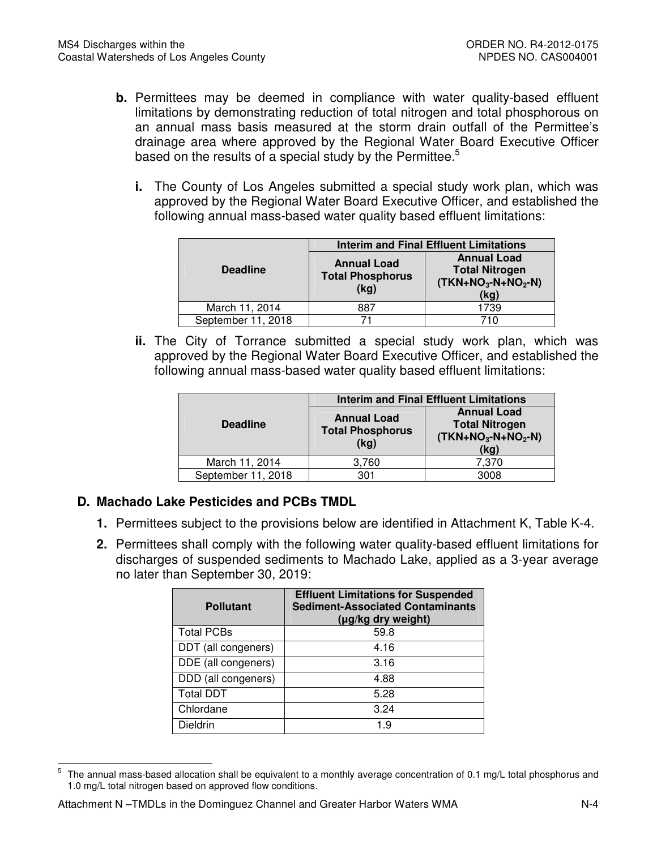- **b.** Permittees may be deemed in compliance with water quality-based effluent limitations by demonstrating reduction of total nitrogen and total phosphorous on an annual mass basis measured at the storm drain outfall of the Permittee's drainage area where approved by the Regional Water Board Executive Officer based on the results of a special study by the Permittee.<sup>5</sup>
	- **i.** The County of Los Angeles submitted a special study work plan, which was approved by the Regional Water Board Executive Officer, and established the following annual mass-based water quality based effluent limitations:

|                    |                                                       | <b>Interim and Final Effluent Limitations</b>                              |  |
|--------------------|-------------------------------------------------------|----------------------------------------------------------------------------|--|
| <b>Deadline</b>    | <b>Annual Load</b><br><b>Total Phosphorus</b><br>(kg) | <b>Annual Load</b><br><b>Total Nitrogen</b><br>$(TKN+NO3-N+NO2-N)$<br>(kg) |  |
| March 11, 2014     | 887                                                   | 1739                                                                       |  |
| September 11, 2018 |                                                       | 710                                                                        |  |

 **ii.** The City of Torrance submitted a special study work plan, which was approved by the Regional Water Board Executive Officer, and established the following annual mass-based water quality based effluent limitations:

|                    |                                                       | <b>Interim and Final Effluent Limitations</b>                              |  |  |
|--------------------|-------------------------------------------------------|----------------------------------------------------------------------------|--|--|
| <b>Deadline</b>    | <b>Annual Load</b><br><b>Total Phosphorus</b><br>(kg) | <b>Annual Load</b><br><b>Total Nitrogen</b><br>$(TKN+NO3-N+NO2-N)$<br>(kg) |  |  |
| March 11, 2014     | 3,760                                                 | 7,370                                                                      |  |  |
| September 11, 2018 | 301                                                   | 3008                                                                       |  |  |
|                    |                                                       |                                                                            |  |  |

## **D. Machado Lake Pesticides and PCBs TMDL**

- **1.** Permittees subject to the provisions below are identified in Attachment K, Table K-4.
- **2.** Permittees shall comply with the following water quality-based effluent limitations for discharges of suspended sediments to Machado Lake, applied as a 3-year average no later than September 30, 2019:

| <b>Pollutant</b>    | <b>Effluent Limitations for Suspended</b><br><b>Sediment-Associated Contaminants</b><br>(µg/kg dry weight) |
|---------------------|------------------------------------------------------------------------------------------------------------|
| <b>Total PCBs</b>   | 59.8                                                                                                       |
| DDT (all congeners) | 4.16                                                                                                       |
| DDE (all congeners) | 3.16                                                                                                       |
| DDD (all congeners) | 4.88                                                                                                       |
| <b>Total DDT</b>    | 5.28                                                                                                       |
| Chlordane           | 3.24                                                                                                       |
| Dieldrin            | 19                                                                                                         |

 $\mathbf 5$  1.0 mg/L total nitrogen based on approved flow conditions. The annual mass-based allocation shall be equivalent to a monthly average concentration of 0.1 mg/L total phosphorus and

l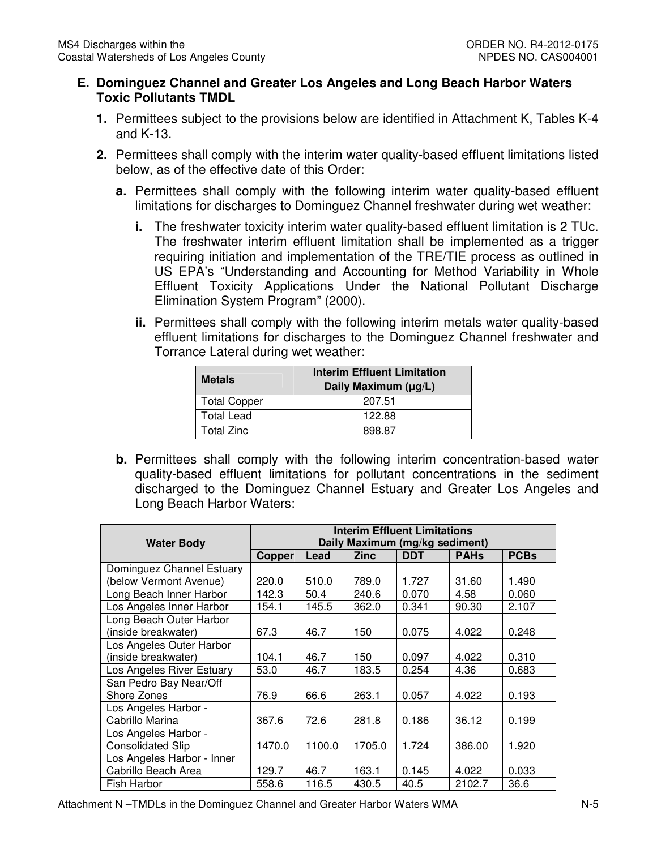### **E. Dominguez Channel and Greater Los Angeles and Long Beach Harbor Waters Toxic Pollutants TMDL**

- **1.** Permittees subject to the provisions below are identified in Attachment K, Tables K-4 and K-13.
- **2.** Permittees shall comply with the interim water quality-based effluent limitations listed below, as of the effective date of this Order:
	- **a.** Permittees shall comply with the following interim water quality-based effluent limitations for discharges to Dominguez Channel freshwater during wet weather:
		- **i.** The freshwater toxicity interim water quality-based effluent limitation is 2 TUc. The freshwater interim effluent limitation shall be implemented as a trigger requiring initiation and implementation of the TRE/TIE process as outlined in US EPA's "Understanding and Accounting for Method Variability in Whole Effluent Toxicity Applications Under the National Pollutant Discharge Elimination System Program" (2000).
		- **ii.** Permittees shall comply with the following interim metals water quality-based effluent limitations for discharges to the Dominguez Channel freshwater and Torrance Lateral during wet weather:

| <b>Metals</b>       | <b>Interim Effluent Limitation</b><br>Daily Maximum (µg/L) |  |
|---------------------|------------------------------------------------------------|--|
| <b>Total Copper</b> | 207.51                                                     |  |
| <b>Total Lead</b>   | 122.88                                                     |  |
| <b>Total Zinc</b>   | 898 87                                                     |  |

 **b.** Permittees shall comply with the following interim concentration-based water quality-based effluent limitations for pollutant concentrations in the sediment discharged to the Dominguez Channel Estuary and Greater Los Angeles and Long Beach Harbor Waters:

| <b>Water Body</b>          | <b>Interim Effluent Limitations</b><br>Daily Maximum (mg/kg sediment) |        |             |            |             |             |
|----------------------------|-----------------------------------------------------------------------|--------|-------------|------------|-------------|-------------|
|                            | <b>Copper</b>                                                         | Lead   | <b>Zinc</b> | <b>DDT</b> | <b>PAHs</b> | <b>PCBs</b> |
| Dominguez Channel Estuary  |                                                                       |        |             |            |             |             |
| (below Vermont Avenue)     | 220.0                                                                 | 510.0  | 789.0       | 1.727      | 31.60       | 1.490       |
| Long Beach Inner Harbor    | 142.3                                                                 | 50.4   | 240.6       | 0.070      | 4.58        | 0.060       |
| Los Angeles Inner Harbor   | 154.1                                                                 | 145.5  | 362.0       | 0.341      | 90.30       | 2.107       |
| Long Beach Outer Harbor    |                                                                       |        |             |            |             |             |
| (inside breakwater)        | 67.3                                                                  | 46.7   | 150         | 0.075      | 4.022       | 0.248       |
| Los Angeles Outer Harbor   |                                                                       |        |             |            |             |             |
| (inside breakwater)        | 104.1                                                                 | 46.7   | 150         | 0.097      | 4.022       | 0.310       |
| Los Angeles River Estuary  | 53.0                                                                  | 46.7   | 183.5       | 0.254      | 4.36        | 0.683       |
| San Pedro Bay Near/Off     |                                                                       |        |             |            |             |             |
| Shore Zones                | 76.9                                                                  | 66.6   | 263.1       | 0.057      | 4.022       | 0.193       |
| Los Angeles Harbor -       |                                                                       |        |             |            |             |             |
| Cabrillo Marina            | 367.6                                                                 | 72.6   | 281.8       | 0.186      | 36.12       | 0.199       |
| Los Angeles Harbor -       |                                                                       |        |             |            |             |             |
| <b>Consolidated Slip</b>   | 1470.0                                                                | 1100.0 | 1705.0      | 1.724      | 386.00      | 1.920       |
| Los Angeles Harbor - Inner |                                                                       |        |             |            |             |             |
| Cabrillo Beach Area        | 129.7                                                                 | 46.7   | 163.1       | 0.145      | 4.022       | 0.033       |
| Fish Harbor                | 558.6                                                                 | 116.5  | 430.5       | 40.5       | 2102.7      | 36.6        |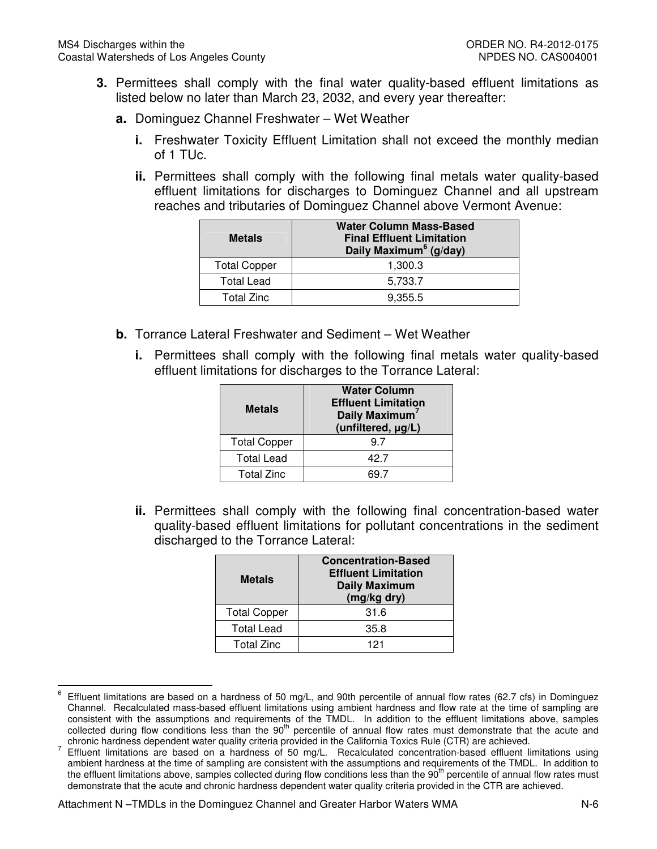- **3.** Permittees shall comply with the final water quality-based effluent limitations as listed below no later than March 23, 2032, and every year thereafter:
	- **a.** Dominguez Channel Freshwater Wet Weather
		- **i.** Freshwater Toxicity Effluent Limitation shall not exceed the monthly median of 1 TUc.
		- **ii.** Permittees shall comply with the following final metals water quality-based effluent limitations for discharges to Dominguez Channel and all upstream reaches and tributaries of Dominguez Channel above Vermont Avenue:

| <b>Metals</b>       | <b>Water Column Mass-Based</b><br><b>Final Effluent Limitation</b><br>Daily Maximum <sup>6</sup> (g/day) |
|---------------------|----------------------------------------------------------------------------------------------------------|
| <b>Total Copper</b> | 1,300.3                                                                                                  |
| <b>Total Lead</b>   | 5,733.7                                                                                                  |
| Total Zinc          | 9,355.5                                                                                                  |

- **b.** Torrance Lateral Freshwater and Sediment Wet Weather
	- **i.** Permittees shall comply with the following final metals water quality-based effluent limitations for discharges to the Torrance Lateral:

| <b>Metals</b>       | <b>Water Column</b><br><b>Effluent Limitation</b><br>Daily Maximum <sup>7</sup><br>(unfiltered, µg/L) |  |  |
|---------------------|-------------------------------------------------------------------------------------------------------|--|--|
| <b>Total Copper</b> | 97                                                                                                    |  |  |
| <b>Total Lead</b>   | 42 7                                                                                                  |  |  |
| <b>Total Zinc</b>   |                                                                                                       |  |  |

 **ii.** Permittees shall comply with the following final concentration-based water quality-based effluent limitations for pollutant concentrations in the sediment discharged to the Torrance Lateral:

| <b>Metals</b>       | <b>Concentration-Based</b><br><b>Effluent Limitation</b><br><b>Daily Maximum</b><br>(mg/kg dry) |  |
|---------------------|-------------------------------------------------------------------------------------------------|--|
| <b>Total Copper</b> | 31.6                                                                                            |  |
| <b>Total Lead</b>   | 35.8                                                                                            |  |
| <b>Total Zinc</b>   | 121                                                                                             |  |

 $\,6\,$  Channel. Recalculated mass-based effluent limitations using ambient hardness and flow rate at the time of sampling are chronic hardness dependent water quality criteria provided in the California Toxics Rule (CTR) are achieved. Effluent limitations are based on a hardness of 50 mg/L, and 90th percentile of annual flow rates (62.7 cfs) in Dominguez consistent with the assumptions and requirements of the TMDL. In addition to the effluent limitations above, samples collected during flow conditions less than the 90<sup>th</sup> percentile of annual flow rates must demonstrate that the acute and

 $\overline{a}$ 

 ambient hardness at the time of sampling are consistent with the assumptions and requirements of the TMDL. In addition to the effluent limitations above, samples collected during flow conditions less than the 90<sup>th</sup> percentile of annual flow rates must demonstrate that the acute and chronic hardness dependent water quality criteria provided in the CTR are achieved. <sup>7</sup> Effluent limitations are based on a hardness of 50 mg/L. Recalculated concentration-based effluent limitations using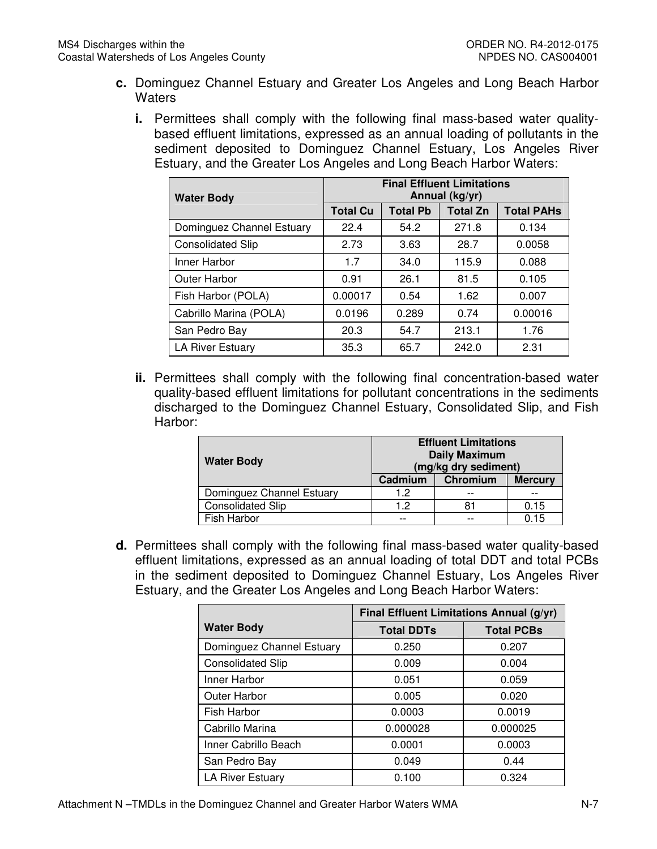- **c.** Dominguez Channel Estuary and Greater Los Angeles and Long Beach Harbor **Waters** 
	- **i.** Permittees shall comply with the following final mass-based water quality- based effluent limitations, expressed as an annual loading of pollutants in the sediment deposited to Dominguez Channel Estuary, Los Angeles River Estuary, and the Greater Los Angeles and Long Beach Harbor Waters:

| <b>Water Body</b>         | <b>Final Effluent Limitations</b><br>Annual (kg/yr) |                 |                 |                   |  |
|---------------------------|-----------------------------------------------------|-----------------|-----------------|-------------------|--|
|                           | <b>Total Cu</b>                                     | <b>Total Pb</b> | <b>Total Zn</b> | <b>Total PAHs</b> |  |
| Dominguez Channel Estuary | 22.4                                                | 54.2            | 271.8           | 0.134             |  |
| <b>Consolidated Slip</b>  | 2.73                                                | 3.63            | 28.7            | 0.0058            |  |
| Inner Harbor              | 1.7                                                 | 34.0            | 115.9           | 0.088             |  |
| <b>Outer Harbor</b>       | 0.91                                                | 26.1            | 81.5            | 0.105             |  |
| Fish Harbor (POLA)        | 0.00017                                             | 0.54            | 1.62            | 0.007             |  |
| Cabrillo Marina (POLA)    | 0.0196                                              | 0.289           | 0.74            | 0.00016           |  |
| San Pedro Bay             | 20.3                                                | 54.7            | 213.1           | 1.76              |  |
| <b>LA River Estuary</b>   | 35.3                                                | 65.7            | 242.0           | 2.31              |  |

 **ii.** Permittees shall comply with the following final concentration-based water quality-based effluent limitations for pollutant concentrations in the sediments discharged to the Dominguez Channel Estuary, Consolidated Slip, and Fish Harbor:

| <b>Water Body</b>         | <b>Effluent Limitations</b><br><b>Daily Maximum</b><br>(mg/kg dry sediment) |          |                |  |
|---------------------------|-----------------------------------------------------------------------------|----------|----------------|--|
|                           | Cadmium                                                                     | Chromium | <b>Mercury</b> |  |
| Dominguez Channel Estuary | 1.2                                                                         |          |                |  |
| <b>Consolidated Slip</b>  | 1.2                                                                         |          | 0.15           |  |
| Fish Harbor               | --                                                                          |          | 0.15           |  |

 **d.** Permittees shall comply with the following final mass-based water quality-based effluent limitations, expressed as an annual loading of total DDT and total PCBs in the sediment deposited to Dominguez Channel Estuary, Los Angeles River Estuary, and the Greater Los Angeles and Long Beach Harbor Waters:

|                           | Final Effluent Limitations Annual (g/yr) |                   |  |
|---------------------------|------------------------------------------|-------------------|--|
| <b>Water Body</b>         | <b>Total DDTs</b>                        | <b>Total PCBs</b> |  |
| Dominguez Channel Estuary | 0.250                                    | 0.207             |  |
| <b>Consolidated Slip</b>  | 0.009                                    | 0.004             |  |
| Inner Harbor              | 0.051                                    | 0.059             |  |
| <b>Outer Harbor</b>       | 0.005                                    | 0.020             |  |
| Fish Harbor               | 0.0003                                   | 0.0019            |  |
| Cabrillo Marina           | 0.000028                                 | 0.000025          |  |
| Inner Cabrillo Beach      | 0.0001                                   | 0.0003            |  |
| San Pedro Bay             | 0.049                                    | 0.44              |  |
| LA River Estuary          | 0.100                                    | 0.324             |  |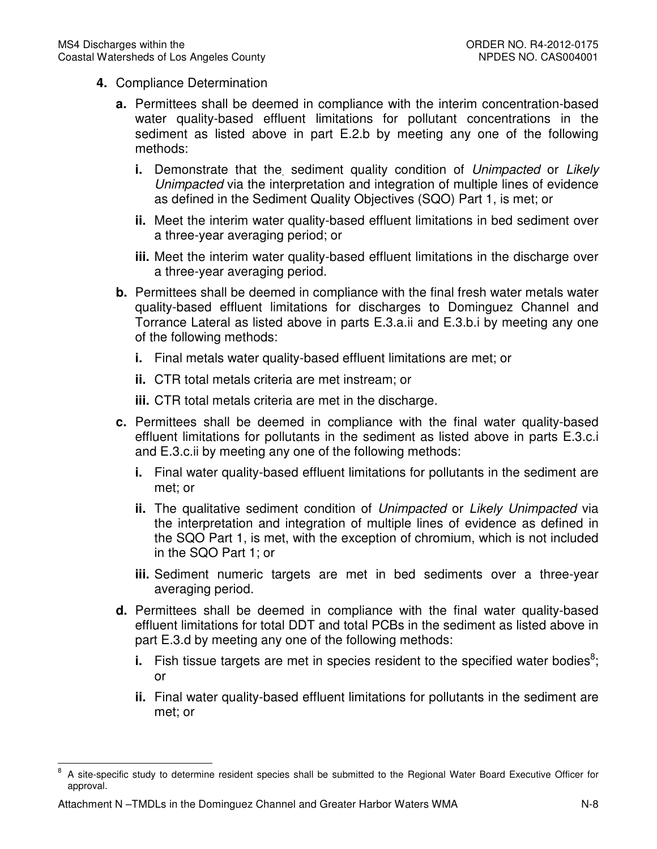- **4.** Compliance Determination
	- **a.** Permittees shall be deemed in compliance with the interim concentration-based water quality-based effluent limitations for pollutant concentrations in the sediment as listed above in part E.2.b by meeting any one of the following methods:
		- **i.** Demonstrate that the. sediment quality condition of Unimpacted or Likely Unimpacted via the interpretation and integration of multiple lines of evidence as defined in the Sediment Quality Objectives (SQO) Part 1, is met; or
		- **ii.** Meet the interim water quality-based effluent limitations in bed sediment over a three-year averaging period; or
		- **iii.** Meet the interim water quality-based effluent limitations in the discharge over a three-year averaging period.
	- **b.** Permittees shall be deemed in compliance with the final fresh water metals water quality-based effluent limitations for discharges to Dominguez Channel and Torrance Lateral as listed above in parts E.3.a.ii and E.3.b.i by meeting any one of the following methods:
		- **i.** Final metals water quality-based effluent limitations are met; or
		- **ii.** CTR total metals criteria are met instream; or
		- **iii.** CTR total metals criteria are met in the discharge.
	- **c.** Permittees shall be deemed in compliance with the final water quality-based effluent limitations for pollutants in the sediment as listed above in parts E.3.c.i and E.3.c.ii by meeting any one of the following methods:
		- **i.** Final water quality-based effluent limitations for pollutants in the sediment are met; or
		- **ii.** The qualitative sediment condition of Unimpacted or Likely Unimpacted via the interpretation and integration of multiple lines of evidence as defined in the SQO Part 1, is met, with the exception of chromium, which is not included in the SQO Part 1; or
		- **iii.** Sediment numeric targets are met in bed sediments over a three-year averaging period.
	- **d.** Permittees shall be deemed in compliance with the final water quality-based effluent limitations for total DDT and total PCBs in the sediment as listed above in part E.3.d by meeting any one of the following methods:
		- **i.** Fish tissue targets are met in species resident to the specified water bodies<sup>8</sup>; or
		- **ii.** Final water quality-based effluent limitations for pollutants in the sediment are met; or

l

<sup>8</sup> 8 A site-specific study to determine resident species shall be submitted to the Regional Water Board Executive Officer for approval.